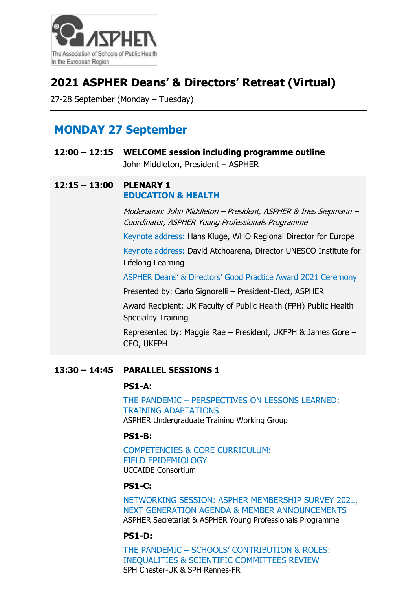

# **2021 ASPHER Deans' & Directors' Retreat (Virtual)**

27-28 September (Monday – Tuesday)

# **MONDAY 27 September**

| 12:00 – 12:15 WELCOME session including programme outline |
|-----------------------------------------------------------|
| John Middleton, President - ASPHER                        |

## **12:15 – 13:00 PLENARY 1 EDUCATION & HEALTH**

Moderation: John Middleton – President, ASPHER & Ines Siepmann – Coordinator, ASPHER Young Professionals Programme

Keynote address: Hans Kluge, WHO Regional Director for Europe Keynote address: David Atchoarena, Director UNESCO Institute for Lifelong Learning

ASPHER Deans' & Directors' Good Practice Award 2021 Ceremony

Presented by: Carlo Signorelli – President-Elect, ASPHER

Award Recipient: UK Faculty of Public Health (FPH) Public Health Speciality Training

Represented by: Maggie Rae – President, UKFPH & James Gore – CEO, UKFPH

# **13:30 – 14:45 PARALLEL SESSIONS 1**

## **PS1-A:**

THE PANDEMIC – PERSPECTIVES ON LESSONS LEARNED: TRAINING ADAPTATIONS ASPHER Undergraduate Training Working Group

# **PS1-B:**

COMPETENCIES & CORE CURRICULUM: FIELD EPIDEMIOLOGY UCCAIDE Consortium

## **PS1-C:**

NETWORKING SESSION: ASPHER MEMBERSHIP SURVEY 2021, NEXT GENERATION AGENDA & MEMBER ANNOUNCEMENTS ASPHER Secretariat & ASPHER Young Professionals Programme

## **PS1-D:**

THE PANDEMIC – SCHOOLS' CONTRIBUTION & ROLES: INEQUALITIES & SCIENTIFIC COMMITTEES REVIEW SPH Chester-UK & SPH Rennes-FR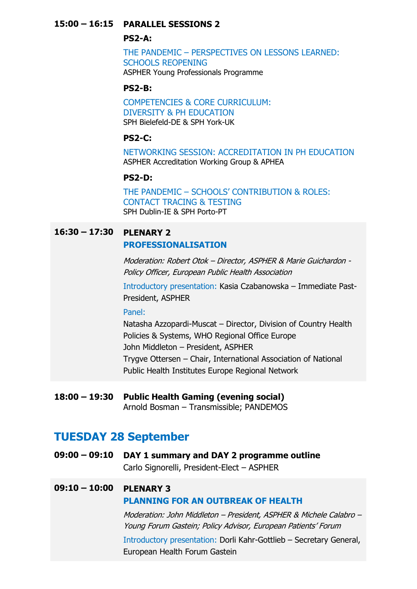# **15:00 – 16:15 PARALLEL SESSIONS 2**

## **PS2-A:**

THE PANDEMIC – PERSPECTIVES ON LESSONS LEARNED: SCHOOLS REOPENING ASPHER Young Professionals Programme

#### **PS2-B:**

COMPETENCIES & CORE CURRICULUM: DIVERSITY & PH EDUCATION SPH Bielefeld-DE & SPH York-UK

#### **PS2-C:**

NETWORKING SESSION: ACCREDITATION IN PH EDUCATION ASPHER Accreditation Working Group & APHEA

## **PS2-D:**

THE PANDEMIC – SCHOOLS' CONTRIBUTION & ROLES: CONTACT TRACING & TESTING SPH Dublin-IE & SPH Porto-PT

# **16:30 – 17:30 PLENARY 2**

#### **PROFESSIONALISATION**

Moderation: Robert Otok – Director, ASPHER & Marie Guichardon - Policy Officer, European Public Health Association

Introductory presentation: Kasia Czabanowska – Immediate Past-President, ASPHER

#### Panel:

Natasha Azzopardi-Muscat – Director, Division of Country Health Policies & Systems, WHO Regional Office Europe John Middleton – President, ASPHER Trygve Ottersen – Chair, International Association of National Public Health Institutes Europe Regional Network

# **18:00 – 19:30 Public Health Gaming (evening social)**

Arnold Bosman – Transmissible; PANDEMOS

# **TUESDAY 28 September**

**09:00 – 09:10 DAY 1 summary and DAY 2 programme outline** Carlo Signorelli, President-Elect – ASPHER

# **09:10 – 10:00 PLENARY 3 PLANNING FOR AN OUTBREAK OF HEALTH**

Moderation: John Middleton – President, ASPHER & Michele Calabro – Young Forum Gastein; Policy Advisor, European Patients' Forum

Introductory presentation: Dorli Kahr-Gottlieb – Secretary General, European Health Forum Gastein